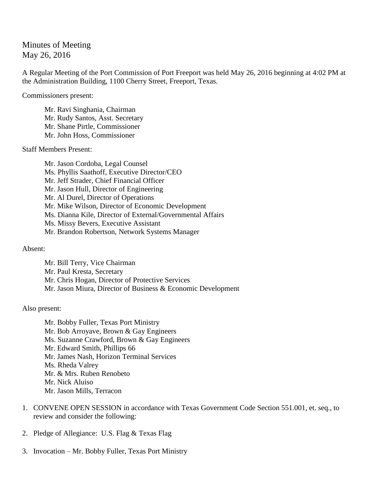## Minutes of Meeting May 26, 2016

A Regular Meeting of the Port Commission of Port Freeport was held May 26, 2016 beginning at 4:02 PM at the Administration Building, 1100 Cherry Street, Freeport, Texas.

Commissioners present:

Mr. Ravi Singhania, Chairman Mr. Rudy Santos, Asst. Secretary Mr. Shane Pirtle, Commissioner Mr. John Hoss, Commissioner

Staff Members Present:

Mr. Jason Cordoba, Legal Counsel Ms. Phyllis Saathoff, Executive Director/CEO Mr. Jeff Strader, Chief Financial Officer Mr. Jason Hull, Director of Engineering Mr. Al Durel, Director of Operations Mr. Mike Wilson, Director of Economic Development Ms. Dianna Kile, Director of External/Governmental Affairs Ms. Missy Bevers, Executive Assistant Mr. Brandon Robertson, Network Systems Manager

Absent:

Mr. Bill Terry, Vice Chairman Mr. Paul Kresta, Secretary Mr. Chris Hogan, Director of Protective Services Mr. Jason Miura, Director of Business & Economic Development

Also present:

Mr. Bobby Fuller, Texas Port Ministry Mr. Bob Arroyave, Brown & Gay Engineers Ms. Suzanne Crawford, Brown & Gay Engineers Mr. Edward Smith, Phillips 66 Mr. James Nash, Horizon Terminal Services Ms. Rheda Valrey Mr. & Mrs. Ruben Renobeto Mr. Nick Aluiso Mr. Jason Mills, Terracon

- 1. CONVENE OPEN SESSION in accordance with Texas Government Code Section 551.001, et. seq., to review and consider the following:
- 2. Pledge of Allegiance: U.S. Flag & Texas Flag
- 3. Invocation Mr. Bobby Fuller, Texas Port Ministry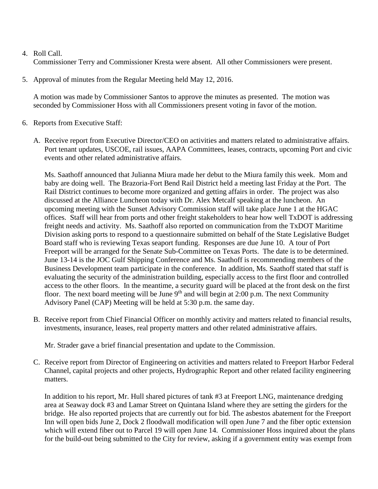## 4. Roll Call.

Commissioner Terry and Commissioner Kresta were absent. All other Commissioners were present.

5. Approval of minutes from the Regular Meeting held May 12, 2016.

A motion was made by Commissioner Santos to approve the minutes as presented. The motion was seconded by Commissioner Hoss with all Commissioners present voting in favor of the motion.

- 6. Reports from Executive Staff:
	- A. Receive report from Executive Director/CEO on activities and matters related to administrative affairs. Port tenant updates, USCOE, rail issues, AAPA Committees, leases, contracts, upcoming Port and civic events and other related administrative affairs.

Ms. Saathoff announced that Julianna Miura made her debut to the Miura family this week. Mom and baby are doing well. The Brazoria-Fort Bend Rail District held a meeting last Friday at the Port. The Rail District continues to become more organized and getting affairs in order. The project was also discussed at the Alliance Luncheon today with Dr. Alex Metcalf speaking at the luncheon. An upcoming meeting with the Sunset Advisory Commission staff will take place June 1 at the HGAC offices. Staff will hear from ports and other freight stakeholders to hear how well TxDOT is addressing freight needs and activity. Ms. Saathoff also reported on communication from the TxDOT Maritime Division asking ports to respond to a questionnaire submitted on behalf of the State Legislative Budget Board staff who is reviewing Texas seaport funding. Responses are due June 10. A tour of Port Freeport will be arranged for the Senate Sub-Committee on Texas Ports. The date is to be determined. June 13-14 is the JOC Gulf Shipping Conference and Ms. Saathoff is recommending members of the Business Development team participate in the conference. In addition, Ms. Saathoff stated that staff is evaluating the security of the administration building, especially access to the first floor and controlled access to the other floors. In the meantime, a security guard will be placed at the front desk on the first floor. The next board meeting will be June  $9<sup>th</sup>$  and will begin at 2:00 p.m. The next Community Advisory Panel (CAP) Meeting will be held at 5:30 p.m. the same day.

B. Receive report from Chief Financial Officer on monthly activity and matters related to financial results, investments, insurance, leases, real property matters and other related administrative affairs.

Mr. Strader gave a brief financial presentation and update to the Commission.

C. Receive report from Director of Engineering on activities and matters related to Freeport Harbor Federal Channel, capital projects and other projects, Hydrographic Report and other related facility engineering matters.

In addition to his report, Mr. Hull shared pictures of tank #3 at Freeport LNG, maintenance dredging area at Seaway dock #3 and Lamar Street on Quintana Island where they are setting the girders for the bridge. He also reported projects that are currently out for bid. The asbestos abatement for the Freeport Inn will open bids June 2, Dock 2 floodwall modification will open June 7 and the fiber optic extension which will extend fiber out to Parcel 19 will open June 14. Commissioner Hoss inquired about the plans for the build-out being submitted to the City for review, asking if a government entity was exempt from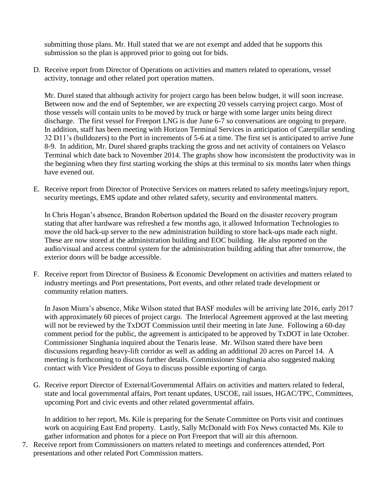submitting those plans. Mr. Hull stated that we are not exempt and added that he supports this submission so the plan is approved prior to going out for bids.

D. Receive report from Director of Operations on activities and matters related to operations, vessel activity, tonnage and other related port operation matters.

Mr. Durel stated that although activity for project cargo has been below budget, it will soon increase. Between now and the end of September, we are expecting 20 vessels carrying project cargo. Most of those vessels will contain units to be moved by truck or barge with some larger units being direct discharge. The first vessel for Freeport LNG is due June 6-7 so conversations are ongoing to prepare. In addition, staff has been meeting with Horizon Terminal Services in anticipation of Caterpillar sending 32 D11's (bulldozers) to the Port in increments of 5-6 at a time. The first set is anticipated to arrive June 8-9. In addition, Mr. Durel shared graphs tracking the gross and net activity of containers on Velasco Terminal which date back to November 2014. The graphs show how inconsistent the productivity was in the beginning when they first starting working the ships at this terminal to six months later when things have evened out.

E. Receive report from Director of Protective Services on matters related to safety meetings/injury report, security meetings, EMS update and other related safety, security and environmental matters.

In Chris Hogan's absence, Brandon Robertson updated the Board on the disaster recovery program stating that after hardware was refreshed a few months ago, it allowed Information Technologies to move the old back-up server to the new administration building to store back-ups made each night. These are now stored at the administration building and EOC building. He also reported on the audio/visual and access control system for the administration building adding that after tomorrow, the exterior doors will be badge accessible.

F. Receive report from Director of Business & Economic Development on activities and matters related to industry meetings and Port presentations, Port events, and other related trade development or community relation matters.

In Jason Miura's absence, Mike Wilson stated that BASF modules will be arriving late 2016, early 2017 with approximately 60 pieces of project cargo. The Interlocal Agreement approved at the last meeting will not be reviewed by the TxDOT Commission until their meeting in late June. Following a 60-day comment period for the public, the agreement is anticipated to be approved by TxDOT in late October. Commissioner Singhania inquired about the Tenaris lease. Mr. Wilson stated there have been discussions regarding heavy-lift corridor as well as adding an additional 20 acres on Parcel 14. A meeting is forthcoming to discuss further details. Commissioner Singhania also suggested making contact with Vice President of Goya to discuss possible exporting of cargo.

G. Receive report Director of External/Governmental Affairs on activities and matters related to federal, state and local governmental affairs, Port tenant updates, USCOE, rail issues, HGAC/TPC, Committees, upcoming Port and civic events and other related governmental affairs.

In addition to her report, Ms. Kile is preparing for the Senate Committee on Ports visit and continues work on acquiring East End property. Lastly, Sally McDonald with Fox News contacted Ms. Kile to gather information and photos for a piece on Port Freeport that will air this afternoon.

7. Receive report from Commissioners on matters related to meetings and conferences attended, Port presentations and other related Port Commission matters.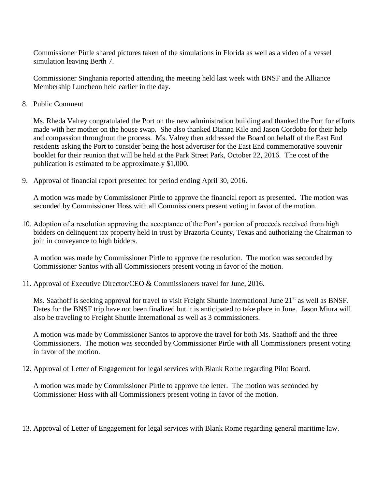Commissioner Pirtle shared pictures taken of the simulations in Florida as well as a video of a vessel simulation leaving Berth 7.

Commissioner Singhania reported attending the meeting held last week with BNSF and the Alliance Membership Luncheon held earlier in the day.

8. Public Comment

Ms. Rheda Valrey congratulated the Port on the new administration building and thanked the Port for efforts made with her mother on the house swap. She also thanked Dianna Kile and Jason Cordoba for their help and compassion throughout the process. Ms. Valrey then addressed the Board on behalf of the East End residents asking the Port to consider being the host advertiser for the East End commemorative souvenir booklet for their reunion that will be held at the Park Street Park, October 22, 2016. The cost of the publication is estimated to be approximately \$1,000.

9. Approval of financial report presented for period ending April 30, 2016.

A motion was made by Commissioner Pirtle to approve the financial report as presented. The motion was seconded by Commissioner Hoss with all Commissioners present voting in favor of the motion.

10. Adoption of a resolution approving the acceptance of the Port's portion of proceeds received from high bidders on delinquent tax property held in trust by Brazoria County, Texas and authorizing the Chairman to join in conveyance to high bidders.

A motion was made by Commissioner Pirtle to approve the resolution. The motion was seconded by Commissioner Santos with all Commissioners present voting in favor of the motion.

11. Approval of Executive Director/CEO & Commissioners travel for June, 2016.

Ms. Saathoff is seeking approval for travel to visit Freight Shuttle International June 21<sup>st</sup> as well as BNSF. Dates for the BNSF trip have not been finalized but it is anticipated to take place in June. Jason Miura will also be traveling to Freight Shuttle International as well as 3 commissioners.

A motion was made by Commissioner Santos to approve the travel for both Ms. Saathoff and the three Commissioners. The motion was seconded by Commissioner Pirtle with all Commissioners present voting in favor of the motion.

12. Approval of Letter of Engagement for legal services with Blank Rome regarding Pilot Board.

A motion was made by Commissioner Pirtle to approve the letter. The motion was seconded by Commissioner Hoss with all Commissioners present voting in favor of the motion.

13. Approval of Letter of Engagement for legal services with Blank Rome regarding general maritime law.